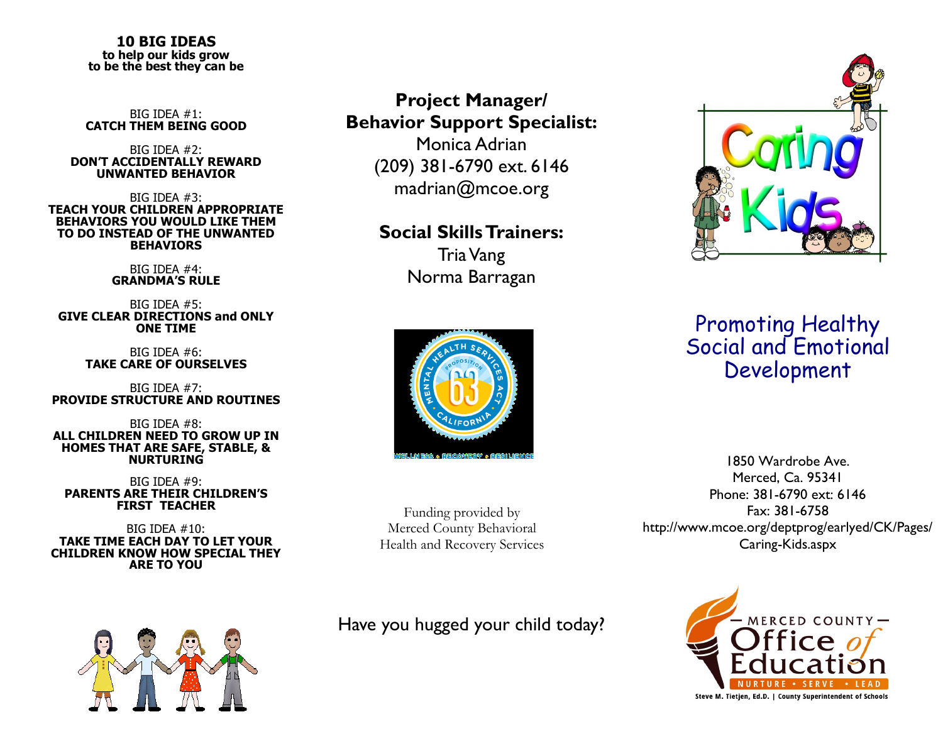#### **10 BIG IDEAS to help our kids grow to be the best they can be**

BIG IDEA #1: **CATCH THEM BEING GOOD** 

#### BIG IDEA #2: **DON'T ACCIDENTALLY REWARD UNWANTED BEHAVIOR**

BIG IDEA #3: **TEACH YOUR CHILDREN APPROPRIATE BEHAVIORS YOU WOULD LIKE THEM TO DO INSTEAD OF THE UNWANTED BEHAVIORS** 

> BIG IDEA #4: **GRANDMA'S RULE**

BIG IDEA #5: **GIVE CLEAR DIRECTIONS and ONLY ONE TIME** 

> BIG IDEA #6: **TAKE CARE OF OURSELVES**

BIG IDEA #7: **PROVIDE STRUCTURE AND ROUTINES** 

BIG IDEA #8: **ALL CHILDREN NEED TO GROW UP IN HOMES THAT ARE SAFE, STABLE, & NURTURING** 

BIG IDEA #9: **PARENTS ARE THEIR CHILDREN'S FIRST TEACHER** 

BIG IDEA #10: **TAKE TIME EACH DAY TO LET YOUR CHILDREN KNOW HOW SPECIAL THEY ARE TO YOU** 



## **Project Manager/ Behavior Support Specialist:**

Monica Adrian (209) 381-6790 ext. 6146 madrian@mcoe.org

#### **Social Skills Trainers:**

Tria Vang Norma Barragan



# Promoting Healthy Social and Emotional Development

Funding provided by Merced County Behavioral Health and Recovery Services

Have you hugged your child today?

1850 Wardrobe Ave. Merced, Ca. 95341 Phone: 381-6790 ext: 6146 Fax: 381-6758 http://www.mcoe.org/deptprog/earlyed/CK/Pages/ Caring-Kids.aspx